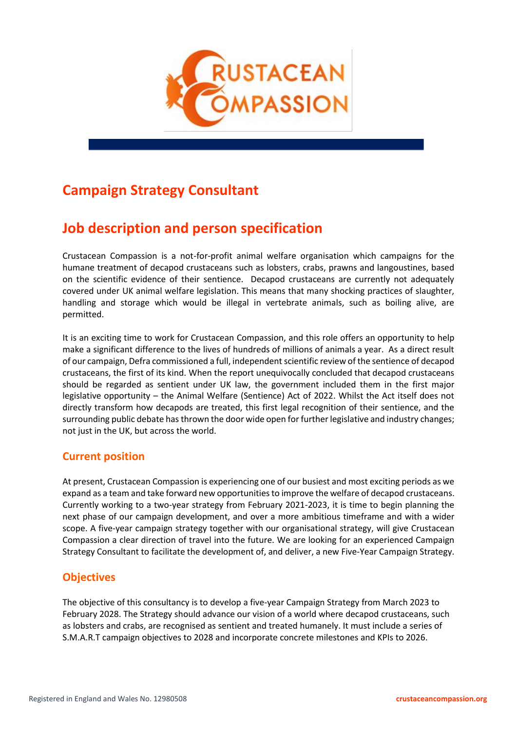

# **Campaign Strategy Consultant**

# **Job description and person specification**

Crustacean Compassion is a not-for-profit animal welfare organisation which campaigns for the humane treatment of decapod crustaceans such as lobsters, crabs, prawns and langoustines, based on the scientific evidence of their sentience. Decapod crustaceans are currently not adequately covered under UK animal welfare legislation. This means that many shocking practices of slaughter, handling and storage which would be illegal in vertebrate animals, such as boiling alive, are permitted.

It is an exciting time to work for Crustacean Compassion, and this role offers an opportunity to help make a significant difference to the lives of hundreds of millions of animals a year. As a direct result of our campaign, Defra commissioned a full, independent scientific review of the sentience of decapod crustaceans, the first of its kind. When the report unequivocally concluded that decapod crustaceans should be regarded as sentient under UK law, the government included them in the first major legislative opportunity – the Animal Welfare (Sentience) Act of 2022. Whilst the Act itself does not directly transform how decapods are treated, this first legal recognition of their sentience, and the surrounding public debate has thrown the door wide open for further legislative and industry changes; not just in the UK, but across the world.

### **Current position**

At present, Crustacean Compassion is experiencing one of our busiest and most exciting periods as we expand as a team and take forward new opportunities to improve the welfare of decapod crustaceans. Currently working to a two-year strategy from February 2021-2023, it is time to begin planning the next phase of our campaign development, and over a more ambitious timeframe and with a wider scope. A five-year campaign strategy together with our organisational strategy, will give Crustacean Compassion a clear direction of travel into the future. We are looking for an experienced Campaign Strategy Consultant to facilitate the development of, and deliver, a new Five-Year Campaign Strategy.

### **Objectives**

The objective of this consultancy is to develop a five-year Campaign Strategy from March 2023 to February 2028. The Strategy should advance our vision of a world where decapod crustaceans, such as lobsters and crabs, are recognised as sentient and treated humanely. It must include a series of S.M.A.R.T campaign objectives to 2028 and incorporate concrete milestones and KPIs to 2026.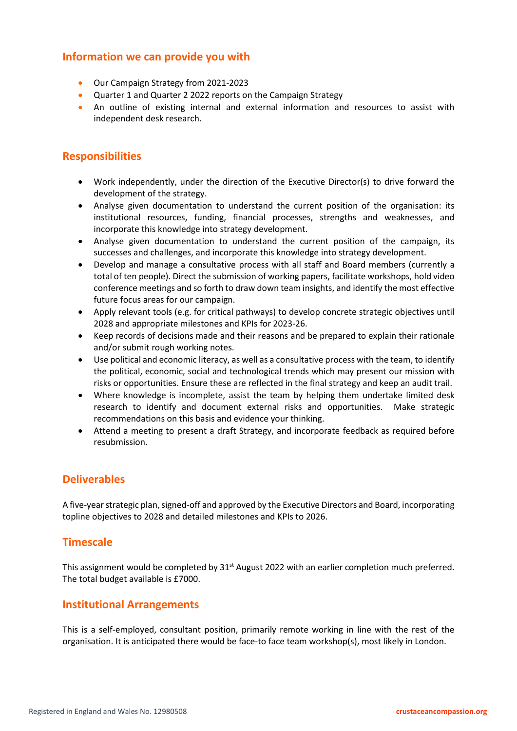#### **Information we can provide you with**

- Our Campaign Strategy from 2021-2023
- Quarter 1 and Quarter 2 2022 reports on the Campaign Strategy
- An outline of existing internal and external information and resources to assist with independent desk research.

### **Responsibilities**

- Work independently, under the direction of the Executive Director(s) to drive forward the development of the strategy.
- Analyse given documentation to understand the current position of the organisation: its institutional resources, funding, financial processes, strengths and weaknesses, and incorporate this knowledge into strategy development.
- Analyse given documentation to understand the current position of the campaign, its successes and challenges, and incorporate this knowledge into strategy development.
- Develop and manage a consultative process with all staff and Board members (currently a total of ten people). Direct the submission of working papers, facilitate workshops, hold video conference meetings and so forth to draw down team insights, and identify the most effective future focus areas for our campaign.
- Apply relevant tools (e.g. for critical pathways) to develop concrete strategic objectives until 2028 and appropriate milestones and KPIs for 2023-26.
- Keep records of decisions made and their reasons and be prepared to explain their rationale and/or submit rough working notes.
- Use political and economic literacy, as well as a consultative process with the team, to identify the political, economic, social and technological trends which may present our mission with risks or opportunities. Ensure these are reflected in the final strategy and keep an audit trail.
- Where knowledge is incomplete, assist the team by helping them undertake limited desk research to identify and document external risks and opportunities. Make strategic recommendations on this basis and evidence your thinking.
- Attend a meeting to present a draft Strategy, and incorporate feedback as required before resubmission.

### **Deliverables**

A five-year strategic plan, signed-off and approved by the Executive Directors and Board, incorporating topline objectives to 2028 and detailed milestones and KPIs to 2026.

### **Timescale**

This assignment would be completed by  $31<sup>st</sup>$  August 2022 with an earlier completion much preferred. The total budget available is £7000.

#### **Institutional Arrangements**

This is a self-employed, consultant position, primarily remote working in line with the rest of the organisation. It is anticipated there would be face-to face team workshop(s), most likely in London.